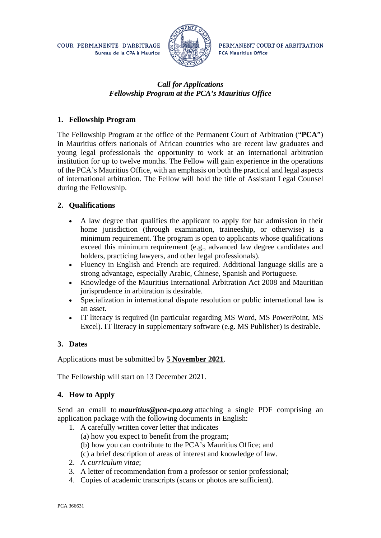COUR PERMANENTE D'ARBITRAGE Bureau de la CPA à Maurice



PERMANENT COURT OF ARBITRATION **PCA Mauritius Office** 

# *Call for Applications Fellowship Program at the PCA's Mauritius Office*

# **1. Fellowship Program**

The Fellowship Program at the office of the Permanent Court of Arbitration ("**PCA**") in Mauritius offers nationals of African countries who are recent law graduates and young legal professionals the opportunity to work at an international arbitration institution for up to twelve months. The Fellow will gain experience in the operations of the PCA's Mauritius Office, with an emphasis on both the practical and legal aspects of international arbitration. The Fellow will hold the title of Assistant Legal Counsel during the Fellowship.

## **2. Qualifications**

- A law degree that qualifies the applicant to apply for bar admission in their home jurisdiction (through examination, traineeship, or otherwise) is a minimum requirement. The program is open to applicants whose qualifications exceed this minimum requirement (e.g., advanced law degree candidates and holders, practicing lawyers, and other legal professionals).
- Fluency in English and French are required. Additional language skills are a strong advantage, especially Arabic, Chinese, Spanish and Portuguese.
- Knowledge of the Mauritius International Arbitration Act 2008 and Mauritian jurisprudence in arbitration is desirable.
- Specialization in international dispute resolution or public international law is an asset.
- IT literacy is required (in particular regarding MS Word, MS PowerPoint, MS Excel). IT literacy in supplementary software (e.g. MS Publisher) is desirable.

#### **3. Dates**

Applications must be submitted by **5 November 2021**.

The Fellowship will start on 13 December 2021.

# **4. How to Apply**

Send an email to *mauritius@pca-cpa.org* attaching a single PDF comprising an application package with the following documents in English:

- 1. A carefully written cover letter that indicates
	- (a) how you expect to benefit from the program;
	- (b) how you can contribute to the PCA's Mauritius Office; and
	- (c) a brief description of areas of interest and knowledge of law.
- 2. A *curriculum vitae*;
- 3. A letter of recommendation from a professor or senior professional;
- 4. Copies of academic transcripts (scans or photos are sufficient).